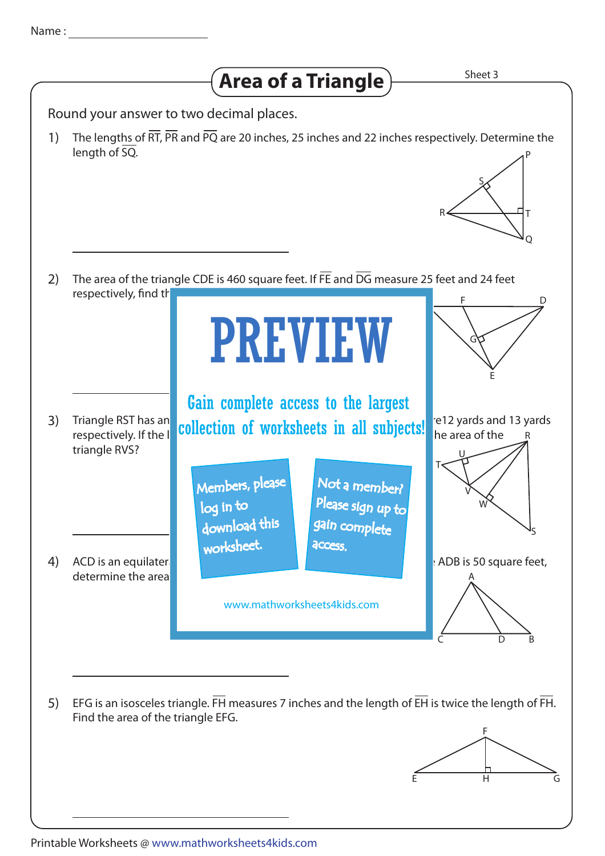